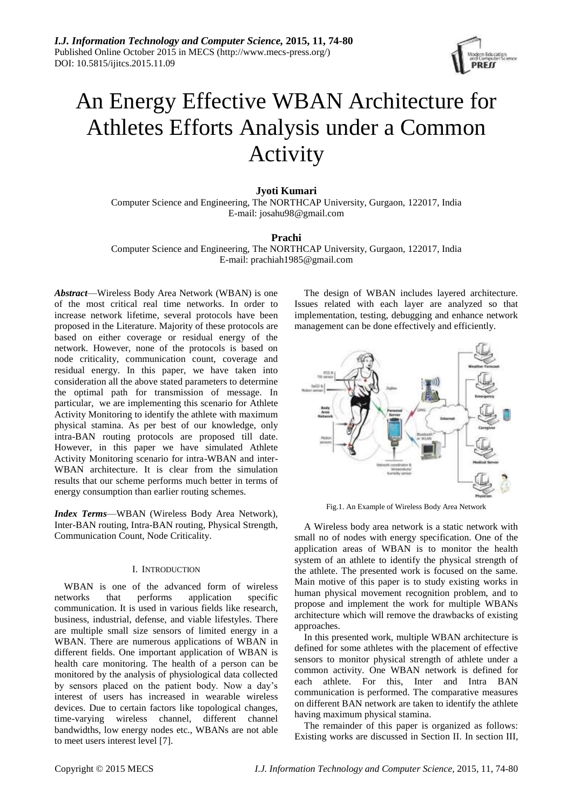

# An Energy Effective WBAN Architecture for Athletes Efforts Analysis under a Common Activity

# **Jyoti Kumari**

Computer Science and Engineering, The NORTHCAP University, Gurgaon, 122017, India E-mail: josahu98@gmail.com

# **Prachi**

Computer Science and Engineering, The NORTHCAP University, Gurgaon, 122017, India E-mail: prachiah1985@gmail.com

*Abstract*—Wireless Body Area Network (WBAN) is one of the most critical real time networks. In order to increase network lifetime, several protocols have been proposed in the Literature. Majority of these protocols are based on either coverage or residual energy of the network. However, none of the protocols is based on node criticality, communication count, coverage and residual energy. In this paper, we have taken into consideration all the above stated parameters to determine the optimal path for transmission of message. In particular, we are implementing this scenario for Athlete Activity Monitoring to identify the athlete with maximum physical stamina. As per best of our knowledge, only intra-BAN routing protocols are proposed till date. However, in this paper we have simulated Athlete Activity Monitoring scenario for intra-WBAN and inter-WBAN architecture. It is clear from the simulation results that our scheme performs much better in terms of energy consumption than earlier routing schemes.

*Index Terms*—WBAN (Wireless Body Area Network), Inter-BAN routing, Intra-BAN routing, Physical Strength, Communication Count, Node Criticality.

## I. INTRODUCTION

WBAN is one of the advanced form of wireless networks that performs application specific communication. It is used in various fields like research, business, industrial, defense, and viable lifestyles. There are multiple small size sensors of limited energy in a WBAN. There are numerous applications of WBAN in different fields. One important application of WBAN is health care monitoring. The health of a person can be monitored by the analysis of physiological data collected by sensors placed on the patient body. Now a day's interest of users has increased in wearable wireless devices. Due to certain factors like topological changes, time-varying wireless channel, different channel bandwidths, low energy nodes etc., WBANs are not able to meet users interest level [7].

The design of WBAN includes layered architecture. Issues related with each layer are analyzed so that implementation, testing, debugging and enhance network management can be done effectively and efficiently.



Fig.1. An Example of Wireless Body Area Network

A Wireless body area network is a static network with small no of nodes with energy specification. One of the application areas of WBAN is to monitor the health system of an athlete to identify the physical strength of the athlete. The presented work is focused on the same. Main motive of this paper is to study existing works in human physical movement recognition problem, and to propose and implement the work for multiple WBANs architecture which will remove the drawbacks of existing approaches.

In this presented work, multiple WBAN architecture is defined for some athletes with the placement of effective sensors to monitor physical strength of athlete under a common activity. One WBAN network is defined for each athlete. For this, Inter and Intra BAN communication is performed. The comparative measures on different BAN network are taken to identify the athlete having maximum physical stamina.

The remainder of this paper is organized as follows: Existing works are discussed in Section II. In section III,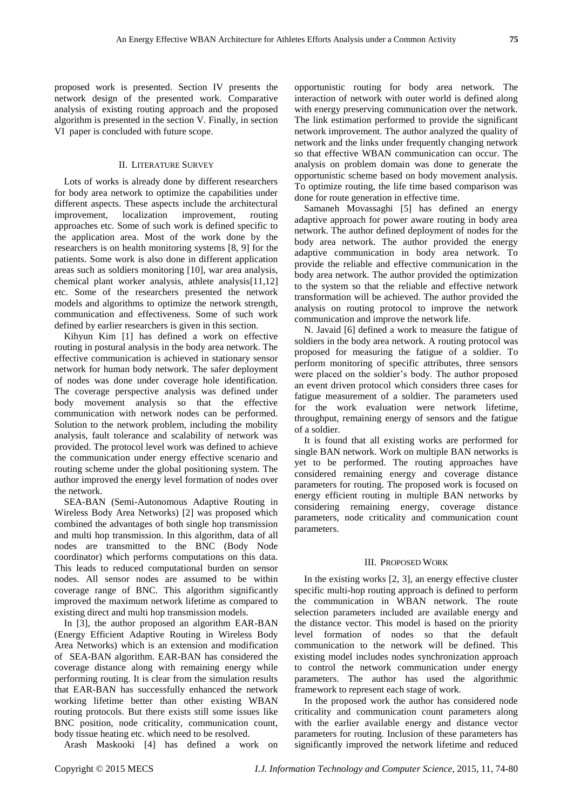proposed work is presented. Section IV presents the network design of the presented work. Comparative analysis of existing routing approach and the proposed algorithm is presented in the section V. Finally, in section VI paper is concluded with future scope.

## II. LITERATURE SURVEY

Lots of works is already done by different researchers for body area network to optimize the capabilities under different aspects. These aspects include the architectural improvement, localization improvement, routing approaches etc. Some of such work is defined specific to the application area. Most of the work done by the researchers is on health monitoring systems [8, 9] for the patients. Some work is also done in different application areas such as soldiers monitoring [10], war area analysis, chemical plant worker analysis, athlete analysis[11,12] etc. Some of the researchers presented the network models and algorithms to optimize the network strength, communication and effectiveness. Some of such work defined by earlier researchers is given in this section.

Kihyun Kim [1] has defined a work on effective routing in postural analysis in the body area network. The effective communication is achieved in stationary sensor network for human body network. The safer deployment of nodes was done under coverage hole identification. The coverage perspective analysis was defined under body movement analysis so that the effective communication with network nodes can be performed. Solution to the network problem, including the mobility analysis, fault tolerance and scalability of network was provided. The protocol level work was defined to achieve the communication under energy effective scenario and routing scheme under the global positioning system. The author improved the energy level formation of nodes over the network.

SEA-BAN (Semi-Autonomous Adaptive Routing in Wireless Body Area Networks) [2] was proposed which combined the advantages of both single hop transmission and multi hop transmission. In this algorithm, data of all nodes are transmitted to the BNC (Body Node coordinator) which performs computations on this data. This leads to reduced computational burden on sensor nodes. All sensor nodes are assumed to be within coverage range of BNC. This algorithm significantly improved the maximum network lifetime as compared to existing direct and multi hop transmission models.

In [3], the author proposed an algorithm EAR-BAN (Energy Efficient Adaptive Routing in Wireless Body Area Networks) which is an extension and modification of SEA-BAN algorithm. EAR-BAN has considered the coverage distance along with remaining energy while performing routing. It is clear from the simulation results that EAR-BAN has successfully enhanced the network working lifetime better than other existing WBAN routing protocols. But there exists still some issues like BNC position, node criticality, communication count, body tissue heating etc. which need to be resolved.

Arash Maskooki [4] has defined a work on

opportunistic routing for body area network. The interaction of network with outer world is defined along with energy preserving communication over the network. The link estimation performed to provide the significant network improvement. The author analyzed the quality of network and the links under frequently changing network so that effective WBAN communication can occur. The analysis on problem domain was done to generate the opportunistic scheme based on body movement analysis. To optimize routing, the life time based comparison was done for route generation in effective time.

Samaneh Movassaghi [5] has defined an energy adaptive approach for power aware routing in body area network. The author defined deployment of nodes for the body area network. The author provided the energy adaptive communication in body area network. To provide the reliable and effective communication in the body area network. The author provided the optimization to the system so that the reliable and effective network transformation will be achieved. The author provided the analysis on routing protocol to improve the network communication and improve the network life.

N. Javaid [6] defined a work to measure the fatigue of soldiers in the body area network. A routing protocol was proposed for measuring the fatigue of a soldier. To perform monitoring of specific attributes, three sensors were placed on the soldier's body. The author proposed an event driven protocol which considers three cases for fatigue measurement of a soldier. The parameters used for the work evaluation were network lifetime, throughput, remaining energy of sensors and the fatigue of a soldier.

It is found that all existing works are performed for single BAN network. Work on multiple BAN networks is yet to be performed. The routing approaches have considered remaining energy and coverage distance parameters for routing. The proposed work is focused on energy efficient routing in multiple BAN networks by considering remaining energy, coverage distance parameters, node criticality and communication count parameters.

## III. PROPOSED WORK

In the existing works [2, 3], an energy effective cluster specific multi-hop routing approach is defined to perform the communication in WBAN network. The route selection parameters included are available energy and the distance vector. This model is based on the priority level formation of nodes so that the default communication to the network will be defined. This existing model includes nodes synchronization approach to control the network communication under energy parameters. The author has used the algorithmic framework to represent each stage of work.

In the proposed work the author has considered node criticality and communication count parameters along with the earlier available energy and distance vector parameters for routing. Inclusion of these parameters has significantly improved the network lifetime and reduced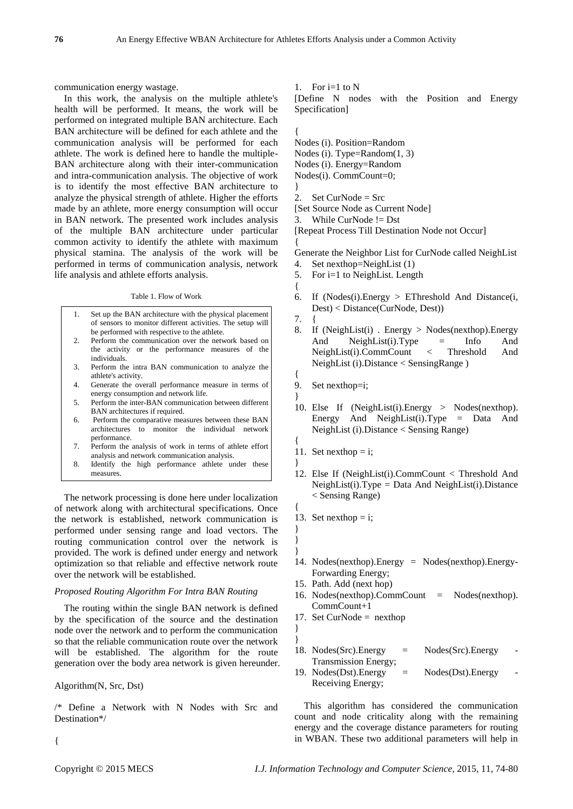}

communication energy wastage.

In this work, the analysis on the multiple athlete's health will be performed. It means, the work will be performed on integrated multiple BAN architecture. Each BAN architecture will be defined for each athlete and the communication analysis will be performed for each athlete. The work is defined here to handle the multiple-BAN architecture along with their inter-communication and intra-communication analysis. The objective of work is to identify the most effective BAN architecture to analyze the physical strength of athlete. Higher the efforts made by an athlete, more energy consumption will occur in BAN network. The presented work includes analysis of the multiple BAN architecture under particular common activity to identify the athlete with maximum physical stamina. The analysis of the work will be performed in terms of communication analysis, network life analysis and athlete efforts analysis.

#### Table 1. Flow of Work

- 1. Set up the BAN architecture with the physical placement of sensors to monitor different activities. The setup will be performed with respective to the athlete.
- 2. Perform the communication over the network based on the activity or the performance measures of the individuals.
- 3. Perform the intra BAN communication to analyze the athlete's activity.
- 4. Generate the overall performance measure in terms of energy consumption and network life.
- 5. Perform the inter-BAN communication between different BAN architectures if required.
- 6. Perform the comparative measures between these BAN architectures to monitor the individual network performance.
- 7. Perform the analysis of work in terms of athlete effort analysis and network communication analysis.
- 8. Identify the high performance athlete under these measures.

The network processing is done here under localization of network along with architectural specifications. Once the network is established, network communication is performed under sensing range and load vectors. The routing communication control over the network is provided. The work is defined under energy and network optimization so that reliable and effective network route over the network will be established.

## *Proposed Routing Algorithm For Intra BAN Routing*

The routing within the single BAN network is defined by the specification of the source and the destination node over the network and to perform the communication so that the reliable communication route over the network will be established. The algorithm for the route generation over the body area network is given hereunder.

Algorithm(N, Src, Dst)

/\* Define a Network with N Nodes with Src and Destination\*/

1. For  $i=1$  to N

[Define N nodes with the Position and Energy Specification]

{ Nodes (i). Position=Random

- Nodes (i). Type=Random(1, 3)
- Nodes (i). Energy=Random

Nodes(i). CommCount=0;

- 2. Set CurNode = Src
- [Set Source Node as Current Node]
- 3. While CurNode != Dst

[Repeat Process Till Destination Node not Occur]

{ Generate the Neighbor List for CurNode called NeighList 4. Set nexthop=NeighList (1)

- 5. For i=1 to NeighList. Length
- { 6. If (Nodes(i).Energy > EThreshold And Distance(i,
	- Dest) < Distance(CurNode, Dest))
- $7<sub>1</sub>$

{

{

}

{

} } }

- 8. If (NeighList(i) . Energy > Nodes(nexthop).Energy And NeighList(i).Type = Info And<br>NeighList(i).CommCount < Threshold And NeighList(i).CommCount < Threshold And NeighList (i).Distance < SensingRange )
- 9. Set nexthop=i;
- } 10. Else If (NeighList(i).Energy > Nodes(nexthop). Energy And NeighList(i).Type = Data And NeighList (i).Distance < Sensing Range)
- 11. Set nexthop  $= i$ ;
- 12. Else If (NeighList(i).CommCount < Threshold And  $NeighList(i).Type = Data And NeighList(i).Distance$ < Sensing Range)
- 13. Set nexthop  $=$  i;
- 14. Nodes(nexthop).Energy = Nodes(nexthop).Energy-Forwarding Energy;
- 15. Path. Add (next hop)
- 16. Nodes(nexthop).CommCount = Nodes(nexthop). CommCount+1
- 17. Set CurNode  $=$  nexthop
- }

}

- 18. Nodes(Src).Energy = Nodes(Src).Energy Transmission Energy;
- 19. Nodes(Dst).Energy = Nodes(Dst).Energy Receiving Energy;

This algorithm has considered the communication count and node criticality along with the remaining energy and the coverage distance parameters for routing in WBAN. These two additional parameters will help in

{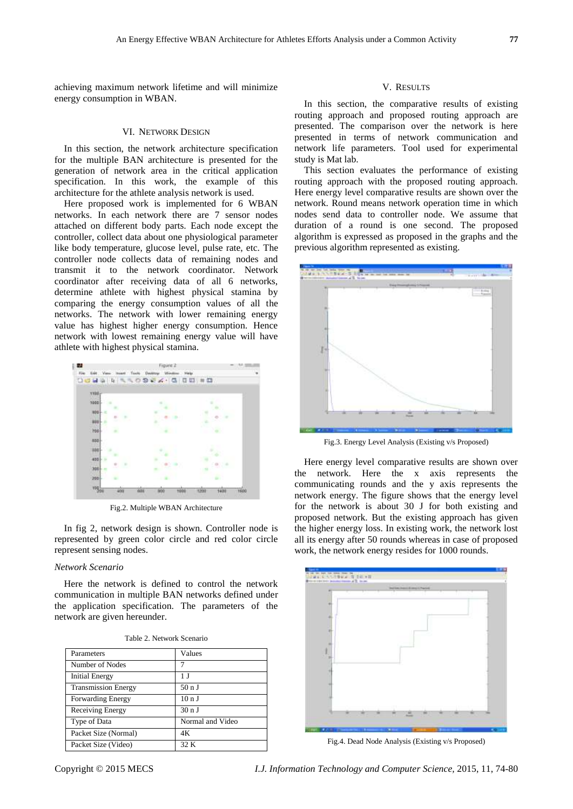achieving maximum network lifetime and will minimize energy consumption in WBAN.

#### VI. NETWORK DESIGN

In this section, the network architecture specification for the multiple BAN architecture is presented for the generation of network area in the critical application specification. In this work, the example of this architecture for the athlete analysis network is used.

Here proposed work is implemented for 6 WBAN networks. In each network there are 7 sensor nodes attached on different body parts. Each node except the controller, collect data about one physiological parameter like body temperature, glucose level, pulse rate, etc. The controller node collects data of remaining nodes and transmit it to the network coordinator. Network coordinator after receiving data of all 6 networks, determine athlete with highest physical stamina by comparing the energy consumption values of all the networks. The network with lower remaining energy value has highest higher energy consumption. Hence network with lowest remaining energy value will have athlete with highest physical stamina.



Fig.2. Multiple WBAN Architecture

In fig 2, network design is shown. Controller node is represented by green color circle and red color circle represent sensing nodes.

## *Network Scenario*

Here the network is defined to control the network communication in multiple BAN networks defined under the application specification. The parameters of the network are given hereunder.

| Table 2. Network Scenario |
|---------------------------|
|---------------------------|

| Parameters                 | Values           |
|----------------------------|------------------|
| Number of Nodes            |                  |
| Initial Energy             | 1 J              |
| <b>Transmission Energy</b> | 50 n J           |
| <b>Forwarding Energy</b>   | 10nJ             |
| Receiving Energy           | 30 n J           |
| Type of Data               | Normal and Video |
| Packet Size (Normal)       | 4Κ               |
| Packet Size (Video)        | 32 K             |

## V. RESULTS

In this section, the comparative results of existing routing approach and proposed routing approach are presented. The comparison over the network is here presented in terms of network communication and network life parameters. Tool used for experimental study is Mat lab.

This section evaluates the performance of existing routing approach with the proposed routing approach. Here energy level comparative results are shown over the network. Round means network operation time in which nodes send data to controller node. We assume that duration of a round is one second. The proposed algorithm is expressed as proposed in the graphs and the previous algorithm represented as existing.



Fig.3. Energy Level Analysis (Existing v/s Proposed)

Here energy level comparative results are shown over the network. Here the x axis represents the communicating rounds and the y axis represents the network energy. The figure shows that the energy level for the network is about 30 J for both existing and proposed network. But the existing approach has given the higher energy loss. In existing work, the network lost all its energy after 50 rounds whereas in case of proposed work, the network energy resides for 1000 rounds.



Fig.4. Dead Node Analysis (Existing v/s Proposed)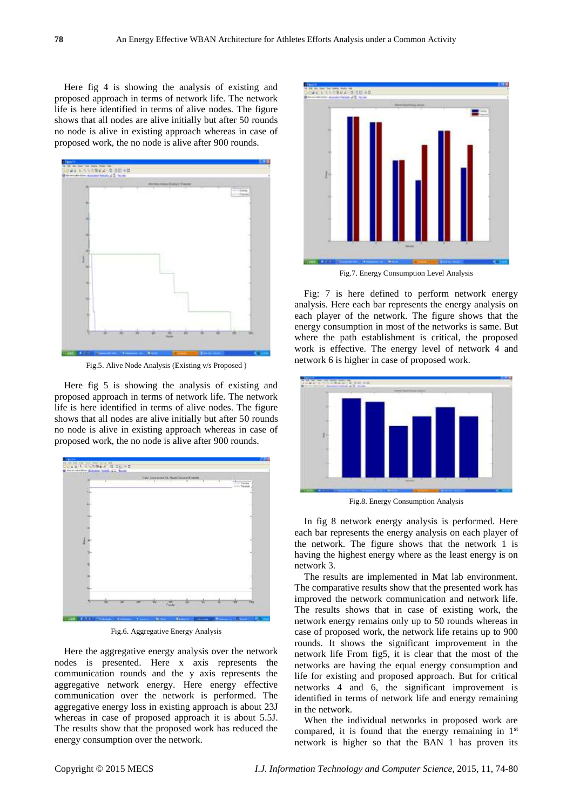Here fig 4 is showing the analysis of existing and proposed approach in terms of network life. The network life is here identified in terms of alive nodes. The figure shows that all nodes are alive initially but after 50 rounds no node is alive in existing approach whereas in case of proposed work, the no node is alive after 900 rounds.



Fig.5. Alive Node Analysis (Existing v/s Proposed )

Here fig 5 is showing the analysis of existing and proposed approach in terms of network life. The network life is here identified in terms of alive nodes. The figure shows that all nodes are alive initially but after 50 rounds no node is alive in existing approach whereas in case of proposed work, the no node is alive after 900 rounds.



Fig.6. Aggregative Energy Analysis

Here the aggregative energy analysis over the network nodes is presented. Here x axis represents the communication rounds and the y axis represents the aggregative network energy. Here energy effective communication over the network is performed. The aggregative energy loss in existing approach is about 23J whereas in case of proposed approach it is about 5.5J. The results show that the proposed work has reduced the energy consumption over the network.



Fig.7. Energy Consumption Level Analysis

Fig: 7 is here defined to perform network energy analysis. Here each bar represents the energy analysis on each player of the network. The figure shows that the energy consumption in most of the networks is same. But where the path establishment is critical, the proposed work is effective. The energy level of network 4 and network 6 is higher in case of proposed work.



Fig.8. Energy Consumption Analysis

In fig 8 network energy analysis is performed. Here each bar represents the energy analysis on each player of the network. The figure shows that the network 1 is having the highest energy where as the least energy is on network 3.

The results are implemented in Mat lab environment. The comparative results show that the presented work has improved the network communication and network life. The results shows that in case of existing work, the network energy remains only up to 50 rounds whereas in case of proposed work, the network life retains up to 900 rounds. It shows the significant improvement in the network life From fig5, it is clear that the most of the networks are having the equal energy consumption and life for existing and proposed approach. But for critical networks 4 and 6, the significant improvement is identified in terms of network life and energy remaining in the network.

When the individual networks in proposed work are compared, it is found that the energy remaining in 1st network is higher so that the BAN 1 has proven its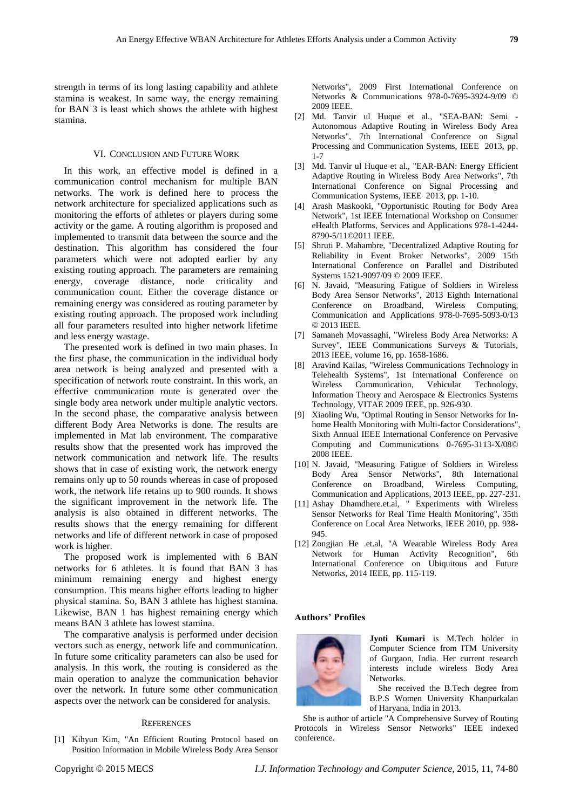strength in terms of its long lasting capability and athlete stamina is weakest. In same way, the energy remaining for BAN 3 is least which shows the athlete with highest stamina.

## VI. CONCLUSION AND FUTURE WORK

In this work, an effective model is defined in a communication control mechanism for multiple BAN networks. The work is defined here to process the network architecture for specialized applications such as monitoring the efforts of athletes or players during some activity or the game. A routing algorithm is proposed and implemented to transmit data between the source and the destination. This algorithm has considered the four parameters which were not adopted earlier by any existing routing approach. The parameters are remaining energy, coverage distance, node criticality and communication count. Either the coverage distance or remaining energy was considered as routing parameter by existing routing approach. The proposed work including all four parameters resulted into higher network lifetime and less energy wastage.

The presented work is defined in two main phases. In the first phase, the communication in the individual body area network is being analyzed and presented with a specification of network route constraint. In this work, an effective communication route is generated over the single body area network under multiple analytic vectors. In the second phase, the comparative analysis between different Body Area Networks is done. The results are implemented in Mat lab environment. The comparative results show that the presented work has improved the network communication and network life. The results shows that in case of existing work, the network energy remains only up to 50 rounds whereas in case of proposed work, the network life retains up to 900 rounds. It shows the significant improvement in the network life. The analysis is also obtained in different networks. The results shows that the energy remaining for different networks and life of different network in case of proposed work is higher.

The proposed work is implemented with 6 BAN networks for 6 athletes. It is found that BAN 3 has minimum remaining energy and highest energy consumption. This means higher efforts leading to higher physical stamina. So, BAN 3 athlete has highest stamina. Likewise, BAN 1 has highest remaining energy which means BAN 3 athlete has lowest stamina.

The comparative analysis is performed under decision vectors such as energy, network life and communication. In future some criticality parameters can also be used for analysis. In this work, the routing is considered as the main operation to analyze the communication behavior over the network. In future some other communication aspects over the network can be considered for analysis.

#### **REFERENCES**

[1] Kihyun Kim, "An Efficient Routing Protocol based on Position Information in Mobile Wireless Body Area Sensor

Networks", 2009 First International Conference on Networks & Communications 978-0-7695-3924-9/09 © 2009 IEEE.

- [2] Md. Tanvir ul Huque et al., "SEA-BAN: Semi Autonomous Adaptive Routing in Wireless Body Area Networks", 7th International Conference on Signal Processing and Communication Systems, IEEE 2013, pp. 1-7
- [3] Md. Tanvir ul Huque et al., "EAR-BAN: Energy Efficient Adaptive Routing in Wireless Body Area Networks", 7th International Conference on Signal Processing and Communication Systems, IEEE 2013, pp. 1-10.
- [4] Arash Maskooki, "Opportunistic Routing for Body Area Network", 1st IEEE International Workshop on Consumer eHealth Platforms, Services and Applications 978-1-4244- 8790-5/11©2011 IEEE.
- [5] Shruti P. Mahambre, "Decentralized Adaptive Routing for Reliability in Event Broker Networks", 2009 15th International Conference on Parallel and Distributed Systems 1521-9097/09 © 2009 IEEE.
- [6] N. Javaid, "Measuring Fatigue of Soldiers in Wireless Body Area Sensor Networks", 2013 Eighth International Conference on Broadband, Wireless Computing, Communication and Applications 978-0-7695-5093-0/13 © 2013 IEEE.
- [7] Samaneh Movassaghi, "Wireless Body Area Networks: A Survey", IEEE Communications Surveys & Tutorials, 2013 IEEE, volume 16, pp. 1658-1686.
- [8] Aravind Kailas, "Wireless Communications Technology in Telehealth Systems", 1st International Conference on Wireless Communication, Vehicular Technology, Information Theory and Aerospace & Electronics Systems Technology, VITAE 2009 IEEE, pp. 926-930.
- [9] Xiaoling Wu, "Optimal Routing in Sensor Networks for Inhome Health Monitoring with Multi-factor Considerations", Sixth Annual IEEE International Conference on Pervasive Computing and Communications 0-7695-3113-X/08© 2008 IEEE.
- [10] N. Javaid, "Measuring Fatigue of Soldiers in Wireless Body Area Sensor Networks", 8th International Conference on Broadband, Wireless Computing, Communication and Applications, 2013 IEEE, pp. 227-231.
- [11] Ashay Dhamdhere.et.al, " Experiments with Wireless Sensor Networks for Real Time Health Monitoring", 35th Conference on Local Area Networks, IEEE 2010, pp. 938- 945.
- [12] Zongjian He .et.al, "A Wearable Wireless Body Area Network for Human Activity Recognition", 6th International Conference on Ubiquitous and Future Networks, 2014 IEEE, pp. 115-119.

## **Authors' Profiles**



**Jyoti Kumari** is M.Tech holder in Computer Science from ITM University of Gurgaon, India. Her current research interests include wireless Body Area Networks.

She received the B.Tech degree from B.P.S Women University Khanpurkalan of Haryana, India in 2013.

She is author of article "A Comprehensive Survey of Routing Protocols in Wireless Sensor Networks" IEEE indexed conference.